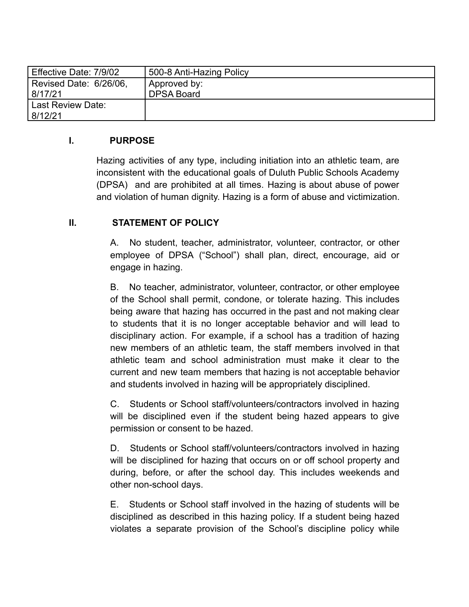| Effective Date: 7/9/02 | 500-8 Anti-Hazing Policy |
|------------------------|--------------------------|
| Revised Date: 6/26/06, | Approved by:             |
| 8/17/21                | <b>DPSA Board</b>        |
| Last Review Date:      |                          |
| 8/12/21                |                          |

#### **I. PURPOSE**

Hazing activities of any type, including initiation into an athletic team, are inconsistent with the educational goals of Duluth Public Schools Academy (DPSA) and are prohibited at all times. Hazing is about abuse of power and violation of human dignity. Hazing is a form of abuse and victimization.

#### **II. STATEMENT OF POLICY**

A. No student, teacher, administrator, volunteer, contractor, or other employee of DPSA ("School") shall plan, direct, encourage, aid or engage in hazing.

B. No teacher, administrator, volunteer, contractor, or other employee of the School shall permit, condone, or tolerate hazing. This includes being aware that hazing has occurred in the past and not making clear to students that it is no longer acceptable behavior and will lead to disciplinary action. For example, if a school has a tradition of hazing new members of an athletic team, the staff members involved in that athletic team and school administration must make it clear to the current and new team members that hazing is not acceptable behavior and students involved in hazing will be appropriately disciplined.

C. Students or School staff/volunteers/contractors involved in hazing will be disciplined even if the student being hazed appears to give permission or consent to be hazed.

D. Students or School staff/volunteers/contractors involved in hazing will be disciplined for hazing that occurs on or off school property and during, before, or after the school day. This includes weekends and other non-school days.

E. Students or School staff involved in the hazing of students will be disciplined as described in this hazing policy. If a student being hazed violates a separate provision of the School's discipline policy while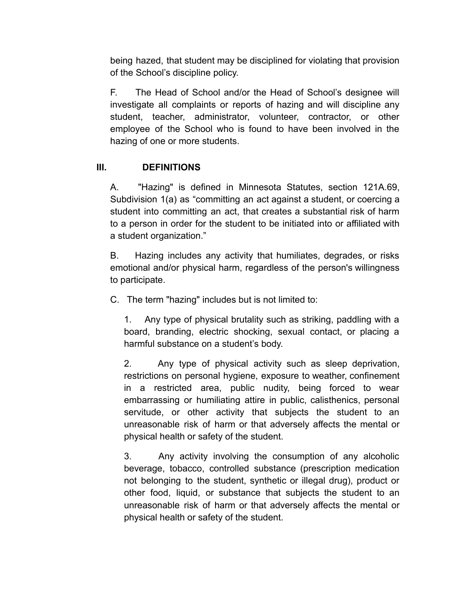being hazed, that student may be disciplined for violating that provision of the School's discipline policy.

F. The Head of School and/or the Head of School's designee will investigate all complaints or reports of hazing and will discipline any student, teacher, administrator, volunteer, contractor, or other employee of the School who is found to have been involved in the hazing of one or more students.

# **III. DEFINITIONS**

A. "Hazing" is defined in Minnesota Statutes, section 121A.69, Subdivision 1(a) as "committing an act against a student, or coercing a student into committing an act, that creates a substantial risk of harm to a person in order for the student to be initiated into or affiliated with a student organization."

B. Hazing includes any activity that humiliates, degrades, or risks emotional and/or physical harm, regardless of the person's willingness to participate.

C. The term "hazing" includes but is not limited to:

1. Any type of physical brutality such as striking, paddling with a board, branding, electric shocking, sexual contact, or placing a harmful substance on a student's body.

2. Any type of physical activity such as sleep deprivation, restrictions on personal hygiene, exposure to weather, confinement in a restricted area, public nudity, being forced to wear embarrassing or humiliating attire in public, calisthenics, personal servitude, or other activity that subjects the student to an unreasonable risk of harm or that adversely affects the mental or physical health or safety of the student.

3. Any activity involving the consumption of any alcoholic beverage, tobacco, controlled substance (prescription medication not belonging to the student, synthetic or illegal drug), product or other food, liquid, or substance that subjects the student to an unreasonable risk of harm or that adversely affects the mental or physical health or safety of the student.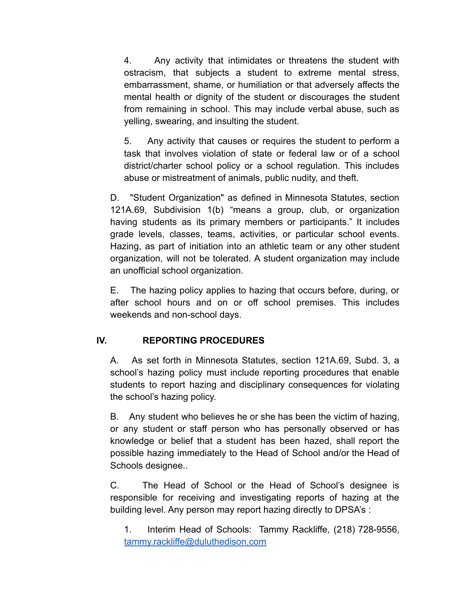4. Any activity that intimidates or threatens the student with ostracism, that subjects a student to extreme mental stress, embarrassment, shame, or humiliation or that adversely affects the mental health or dignity of the student or discourages the student from remaining in school. This may include verbal abuse, such as yelling, swearing, and insulting the student.

5. Any activity that causes or requires the student to perform a task that involves violation of state or federal law or of a school district/charter school policy or a school regulation. This includes abuse or mistreatment of animals, public nudity, and theft.

D. "Student Organization" as defined in Minnesota Statutes, section 121A.69, Subdivision 1(b) "means a group, club, or organization having students as its primary members or participants." It includes grade levels, classes, teams, activities, or particular school events. Hazing, as part of initiation into an athletic team or any other student organization, will not be tolerated. A student organization may include an unofficial school organization.

E. The hazing policy applies to hazing that occurs before, during, or after school hours and on or off school premises. This includes weekends and non-school days.

# **IV. REPORTING PROCEDURES**

A. As set forth in Minnesota Statutes, section 121A.69, Subd. 3, a school's hazing policy must include reporting procedures that enable students to report hazing and disciplinary consequences for violating the school's hazing policy.

B. Any student who believes he or she has been the victim of hazing, or any student or staff person who has personally observed or has knowledge or belief that a student has been hazed, shall report the possible hazing immediately to the Head of School and/or the Head of Schools designee..

C. The Head of School or the Head of School's designee is responsible for receiving and investigating reports of hazing at the building level. Any person may report hazing directly to DPSA's :

1. Interim Head of Schools: Tammy Rackliffe, (218) 728-9556, [tammy.rackliffe@duluthedison.com](mailto:tammy.rackliffe@duluthedison.com)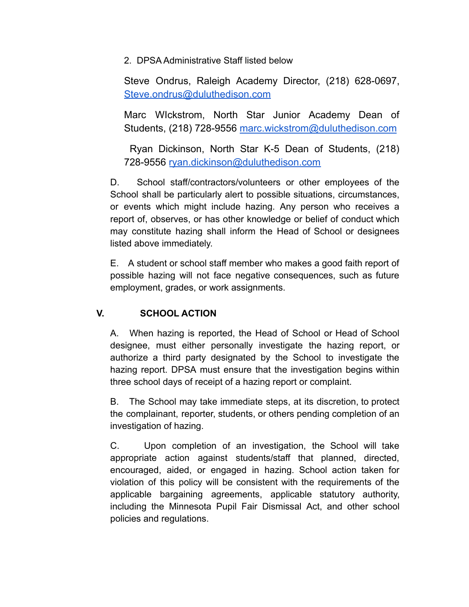2. DPSA Administrative Staff listed below

Steve Ondrus, Raleigh Academy Director, (218) 628-0697, [Steve.ondrus@duluthedison.com](mailto:Steve.ondrus@duluthedison.com)

Marc WIckstrom, North Star Junior Academy Dean of Students, (218) 728-9556 [marc.wickstrom@duluthedison.com](mailto:marc.wickstrom@duluthedison.com)

Ryan Dickinson, North Star K-5 Dean of Students, (218) 728-9556 [ryan.dickinson@duluthedison.com](mailto:ryan.dickinson@duluthedison.com)

D. School staff/contractors/volunteers or other employees of the School shall be particularly alert to possible situations, circumstances, or events which might include hazing. Any person who receives a report of, observes, or has other knowledge or belief of conduct which may constitute hazing shall inform the Head of School or designees listed above immediately.

E. A student or school staff member who makes a good faith report of possible hazing will not face negative consequences, such as future employment, grades, or work assignments.

# **V. SCHOOL ACTION**

A. When hazing is reported, the Head of School or Head of School designee, must either personally investigate the hazing report, or authorize a third party designated by the School to investigate the hazing report. DPSA must ensure that the investigation begins within three school days of receipt of a hazing report or complaint.

B. The School may take immediate steps, at its discretion, to protect the complainant, reporter, students, or others pending completion of an investigation of hazing.

C. Upon completion of an investigation, the School will take appropriate action against students/staff that planned, directed, encouraged, aided, or engaged in hazing. School action taken for violation of this policy will be consistent with the requirements of the applicable bargaining agreements, applicable statutory authority, including the Minnesota Pupil Fair Dismissal Act, and other school policies and regulations.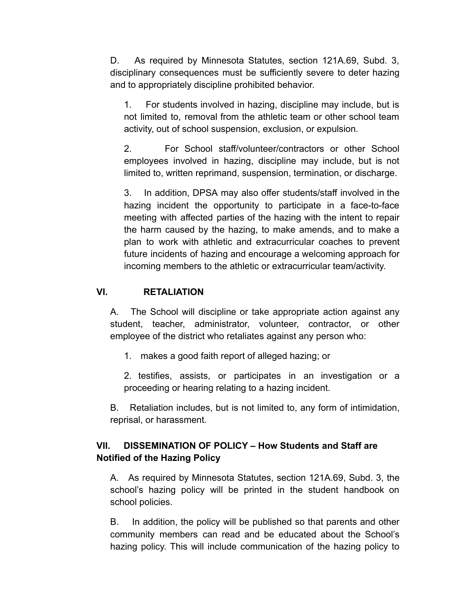D. As required by Minnesota Statutes, section 121A.69, Subd. 3, disciplinary consequences must be sufficiently severe to deter hazing and to appropriately discipline prohibited behavior.

1. For students involved in hazing, discipline may include, but is not limited to, removal from the athletic team or other school team activity, out of school suspension, exclusion, or expulsion.

2. For School staff/volunteer/contractors or other School employees involved in hazing, discipline may include, but is not limited to, written reprimand, suspension, termination, or discharge.

3. In addition, DPSA may also offer students/staff involved in the hazing incident the opportunity to participate in a face-to-face meeting with affected parties of the hazing with the intent to repair the harm caused by the hazing, to make amends, and to make a plan to work with athletic and extracurricular coaches to prevent future incidents of hazing and encourage a welcoming approach for incoming members to the athletic or extracurricular team/activity.

#### **VI. RETALIATION**

A. The School will discipline or take appropriate action against any student, teacher, administrator, volunteer, contractor, or other employee of the district who retaliates against any person who:

1. makes a good faith report of alleged hazing; or

2. testifies, assists, or participates in an investigation or a proceeding or hearing relating to a hazing incident.

B. Retaliation includes, but is not limited to, any form of intimidation, reprisal, or harassment.

# **VII. DISSEMINATION OF POLICY – How Students and Staff are Notified of the Hazing Policy**

A. As required by Minnesota Statutes, section 121A.69, Subd. 3, the school's hazing policy will be printed in the student handbook on school policies.

B. In addition, the policy will be published so that parents and other community members can read and be educated about the School's hazing policy. This will include communication of the hazing policy to